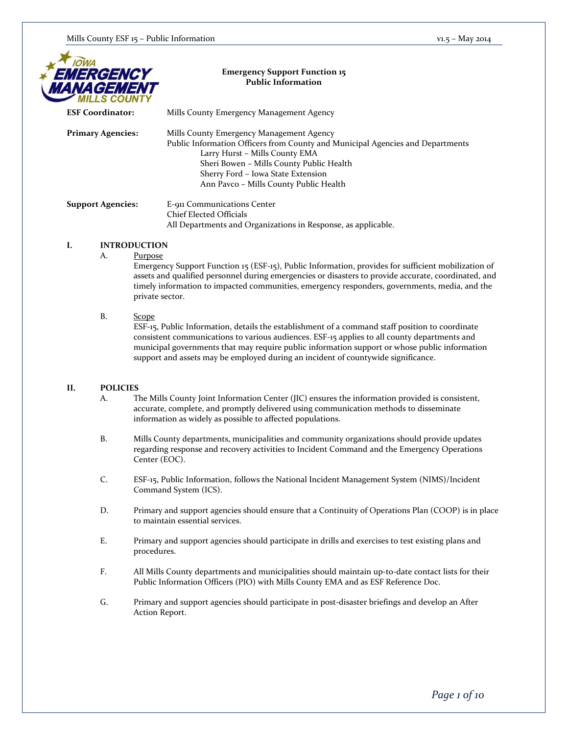| <b>IOWA</b>           |
|-----------------------|
| <b>EMERGENCY</b><br>M |
| <b>MANAGEMENT</b>     |
|                       |

### **Emergency Support Function 15 Public Information**

| <b>ESF Coordinator:</b>  | Mills County Emergency Management Agency                                                                                                                                                                                                                                                 |
|--------------------------|------------------------------------------------------------------------------------------------------------------------------------------------------------------------------------------------------------------------------------------------------------------------------------------|
| <b>Primary Agencies:</b> | Mills County Emergency Management Agency<br>Public Information Officers from County and Municipal Agencies and Departments<br>Larry Hurst - Mills County EMA<br>Sheri Bowen - Mills County Public Health<br>Sherry Ford - Iowa State Extension<br>Ann Pavco – Mills County Public Health |
| <b>Support Agencies:</b> | E-911 Communications Center<br><b>Chief Elected Officials</b>                                                                                                                                                                                                                            |

All Departments and Organizations in Response, as applicable.

### **I. INTRODUCTION**

A. Purpose

Emergency Support Function 15 (ESF-15), Public Information, provides for sufficient mobilization of assets and qualified personnel during emergencies or disasters to provide accurate, coordinated, and timely information to impacted communities, emergency responders, governments, media, and the private sector.

### B. Scope

ESF-15, Public Information, details the establishment of a command staff position to coordinate consistent communications to various audiences. ESF-15 applies to all county departments and municipal governments that may require public information support or whose public information support and assets may be employed during an incident of countywide significance.

### **II. POLICIES**

- A. The Mills County Joint Information Center (JIC) ensures the information provided is consistent, accurate, complete, and promptly delivered using communication methods to disseminate information as widely as possible to affected populations.
- B. Mills County departments, municipalities and community organizations should provide updates regarding response and recovery activities to Incident Command and the Emergency Operations Center (EOC).
- C. ESF-15, Public Information, follows the National Incident Management System (NIMS)/Incident Command System (ICS).
- D. Primary and support agencies should ensure that a Continuity of Operations Plan (COOP) is in place to maintain essential services.
- E. Primary and support agencies should participate in drills and exercises to test existing plans and procedures.
- F. All Mills County departments and municipalities should maintain up-to-date contact lists for their Public Information Officers (PIO) with Mills County EMA and as ESF Reference Doc.
- G. Primary and support agencies should participate in post-disaster briefings and develop an After Action Report.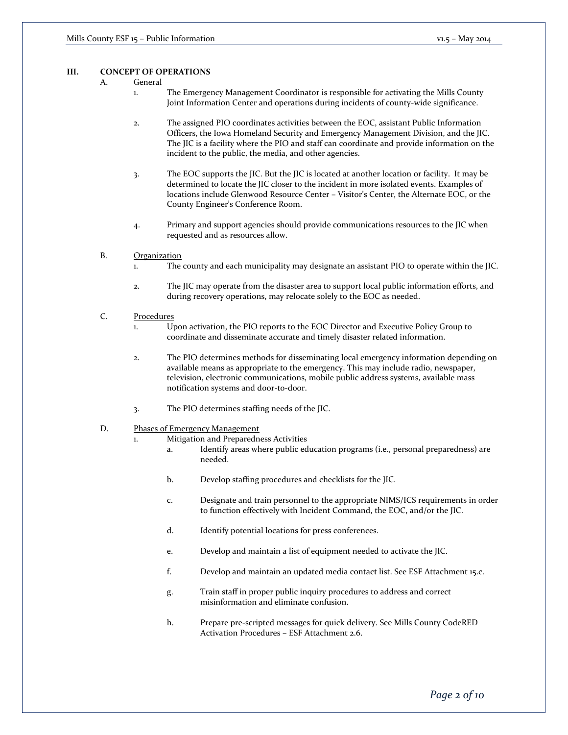#### **III. CONCEPT OF OPERATIONS**

- A. General
	- 1. The Emergency Management Coordinator is responsible for activating the Mills County Joint Information Center and operations during incidents of county-wide significance.
	- 2. The assigned PIO coordinates activities between the EOC, assistant Public Information Officers, the Iowa Homeland Security and Emergency Management Division, and the JIC. The JIC is a facility where the PIO and staff can coordinate and provide information on the incident to the public, the media, and other agencies.
	- 3. The EOC supports the JIC. But the JIC is located at another location or facility. It may be determined to locate the JIC closer to the incident in more isolated events. Examples of locations include Glenwood Resource Center – Visitor's Center, the Alternate EOC, or the County Engineer's Conference Room.
	- 4. Primary and support agencies should provide communications resources to the JIC when requested and as resources allow.
- B. Organization
	- 1. The county and each municipality may designate an assistant PIO to operate within the JIC.
	- 2. The JIC may operate from the disaster area to support local public information efforts, and during recovery operations, may relocate solely to the EOC as needed.
- C. Procedures
	- 1. Upon activation, the PIO reports to the EOC Director and Executive Policy Group to coordinate and disseminate accurate and timely disaster related information.
	- 2. The PIO determines methods for disseminating local emergency information depending on available means as appropriate to the emergency. This may include radio, newspaper, television, electronic communications, mobile public address systems, available mass notification systems and door-to-door.
	- 3. The PIO determines staffing needs of the JIC.
- D. Phases of Emergency Management
	- 1. Mitigation and Preparedness Activities
		- a. Identify areas where public education programs (i.e., personal preparedness) are needed.
		- b. Develop staffing procedures and checklists for the JIC.
		- c. Designate and train personnel to the appropriate NIMS/ICS requirements in order to function effectively with Incident Command, the EOC, and/or the JIC.
		- d. Identify potential locations for press conferences.
		- e. Develop and maintain a list of equipment needed to activate the JIC.
		- f. Develop and maintain an updated media contact list. See ESF Attachment 15.c.
		- g. Train staff in proper public inquiry procedures to address and correct misinformation and eliminate confusion.
		- h. Prepare pre-scripted messages for quick delivery. See Mills County CodeRED Activation Procedures – ESF Attachment 2.6.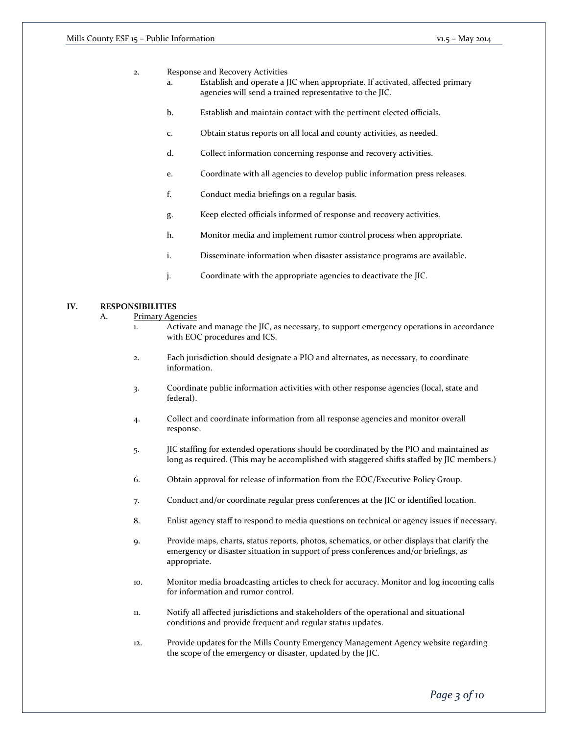- 2. Response and Recovery Activities
	- a. Establish and operate a JIC when appropriate. If activated, affected primary agencies will send a trained representative to the JIC.
	- b. Establish and maintain contact with the pertinent elected officials.
	- c. Obtain status reports on all local and county activities, as needed.
	- d. Collect information concerning response and recovery activities.
	- e. Coordinate with all agencies to develop public information press releases.
	- f. Conduct media briefings on a regular basis.
	- g. Keep elected officials informed of response and recovery activities.
	- h. Monitor media and implement rumor control process when appropriate.
	- i. Disseminate information when disaster assistance programs are available.
	- j. Coordinate with the appropriate agencies to deactivate the JIC.

### **IV. RESPONSIBILITIES**

- A. Primary Agencies
	- 1. Activate and manage the JIC, as necessary, to support emergency operations in accordance with EOC procedures and ICS.
	- 2. Each jurisdiction should designate a PIO and alternates, as necessary, to coordinate information.
	- 3. Coordinate public information activities with other response agencies (local, state and federal).
	- 4. Collect and coordinate information from all response agencies and monitor overall response.
	- 5. JIC staffing for extended operations should be coordinated by the PIO and maintained as long as required. (This may be accomplished with staggered shifts staffed by JIC members.)
	- 6. Obtain approval for release of information from the EOC/Executive Policy Group.
	- 7. Conduct and/or coordinate regular press conferences at the JIC or identified location.
	- 8. Enlist agency staff to respond to media questions on technical or agency issues if necessary.
	- 9. Provide maps, charts, status reports, photos, schematics, or other displays that clarify the emergency or disaster situation in support of press conferences and/or briefings, as appropriate.
	- 10. Monitor media broadcasting articles to check for accuracy. Monitor and log incoming calls for information and rumor control.
	- 11. Notify all affected jurisdictions and stakeholders of the operational and situational conditions and provide frequent and regular status updates.
	- 12. Provide updates for the Mills County Emergency Management Agency website regarding the scope of the emergency or disaster, updated by the JIC.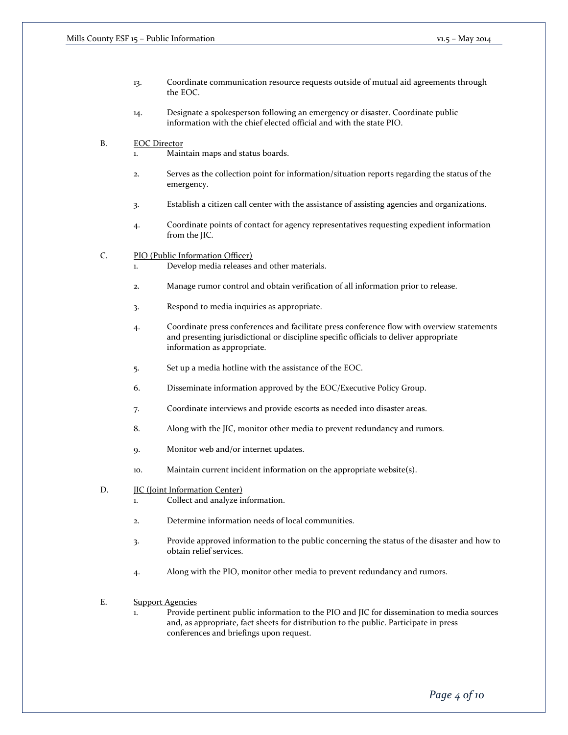- 13. Coordinate communication resource requests outside of mutual aid agreements through the EOC.
- 14. Designate a spokesperson following an emergency or disaster. Coordinate public information with the chief elected official and with the state PIO.
- B. EOC Director
	- Maintain maps and status boards.
	- 2. Serves as the collection point for information/situation reports regarding the status of the emergency.
	- 3. Establish a citizen call center with the assistance of assisting agencies and organizations.
	- 4. Coordinate points of contact for agency representatives requesting expedient information from the JIC.
- C. PIO (Public Information Officer)
	- 1. Develop media releases and other materials.
	- 2. Manage rumor control and obtain verification of all information prior to release.
	- 3. Respond to media inquiries as appropriate.
	- 4. Coordinate press conferences and facilitate press conference flow with overview statements and presenting jurisdictional or discipline specific officials to deliver appropriate information as appropriate.
	- 5. Set up a media hotline with the assistance of the EOC.
	- 6. Disseminate information approved by the EOC/Executive Policy Group.
	- 7. Coordinate interviews and provide escorts as needed into disaster areas.
	- 8. Along with the JIC, monitor other media to prevent redundancy and rumors.
	- 9. Monitor web and/or internet updates.
	- 10. Maintain current incident information on the appropriate website(s).
- D. **JIC** (Joint Information Center)
	- 1. Collect and analyze information.
	- 2. Determine information needs of local communities.
	- 3. Provide approved information to the public concerning the status of the disaster and how to obtain relief services.
	- 4. Along with the PIO, monitor other media to prevent redundancy and rumors.
- E. Support Agencies
	- 1. Provide pertinent public information to the PIO and JIC for dissemination to media sources and, as appropriate, fact sheets for distribution to the public. Participate in press conferences and briefings upon request.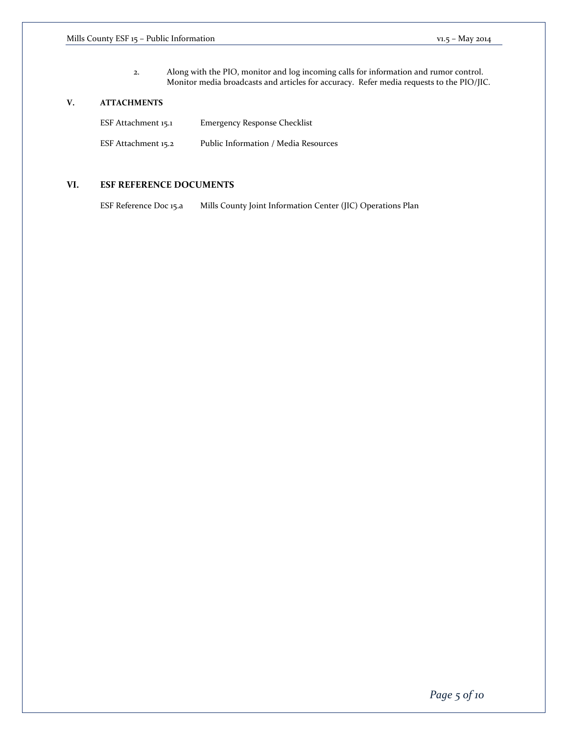2. Along with the PIO, monitor and log incoming calls for information and rumor control. Monitor media broadcasts and articles for accuracy. Refer media requests to the PIO/JIC.

## **V. ATTACHMENTS**

| ESF Attachment 15.1 | <b>Emergency Response Checklist</b>  |
|---------------------|--------------------------------------|
| ESF Attachment 15.2 | Public Information / Media Resources |

## **VI. ESF REFERENCE DOCUMENTS**

ESF Reference Doc 15.a Mills County Joint Information Center (JIC) Operations Plan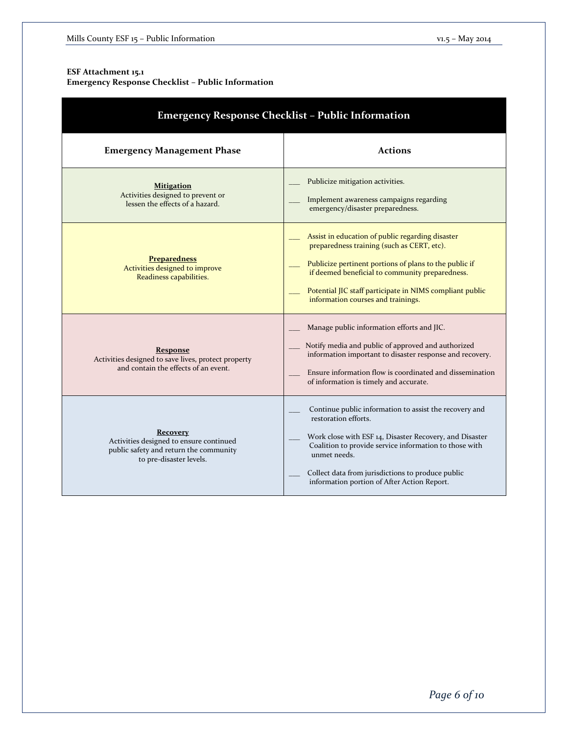# **ESF Attachment 15.1**

**Emergency Response Checklist – Public Information**

| <b>Emergency Response Checklist - Public Information</b>                                                                 |                                                                                                                                                                                                                                                                                                                         |  |  |  |
|--------------------------------------------------------------------------------------------------------------------------|-------------------------------------------------------------------------------------------------------------------------------------------------------------------------------------------------------------------------------------------------------------------------------------------------------------------------|--|--|--|
| <b>Emergency Management Phase</b>                                                                                        | <b>Actions</b>                                                                                                                                                                                                                                                                                                          |  |  |  |
| <b>Mitigation</b><br>Activities designed to prevent or<br>lessen the effects of a hazard.                                | Publicize mitigation activities.<br>Implement awareness campaigns regarding<br>emergency/disaster preparedness.                                                                                                                                                                                                         |  |  |  |
| <b>Preparedness</b><br>Activities designed to improve<br>Readiness capabilities.                                         | Assist in education of public regarding disaster<br>preparedness training (such as CERT, etc).<br>Publicize pertinent portions of plans to the public if<br>if deemed beneficial to community preparedness.<br>Potential JIC staff participate in NIMS compliant public<br>information courses and trainings.           |  |  |  |
| <b>Response</b><br>Activities designed to save lives, protect property<br>and contain the effects of an event.           | Manage public information efforts and JIC.<br>Notify media and public of approved and authorized<br>information important to disaster response and recovery.<br>Ensure information flow is coordinated and dissemination<br>of information is timely and accurate.                                                      |  |  |  |
| Recovery<br>Activities designed to ensure continued<br>public safety and return the community<br>to pre-disaster levels. | Continue public information to assist the recovery and<br>restoration efforts.<br>Work close with ESF 14, Disaster Recovery, and Disaster<br>Coalition to provide service information to those with<br>unmet needs.<br>Collect data from jurisdictions to produce public<br>information portion of After Action Report. |  |  |  |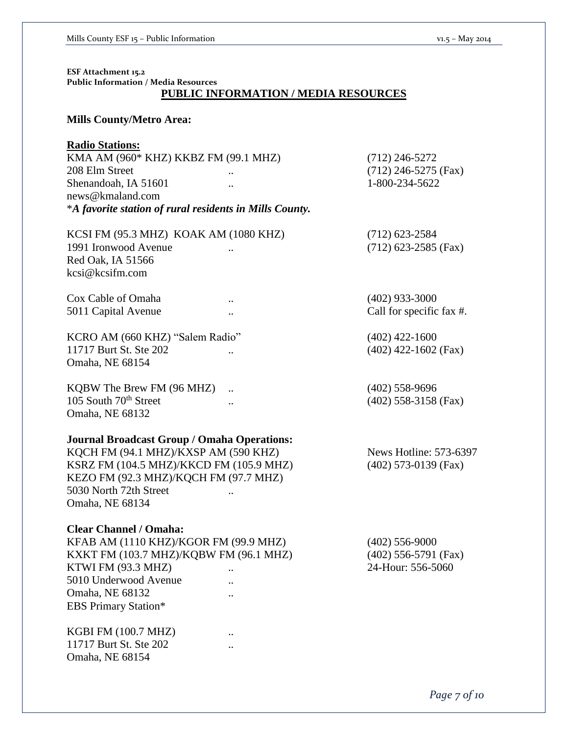**ESF Attachment 15.2 Public Information / Media Resources PUBLIC INFORMATION / MEDIA RESOURCES**

# **Mills County/Metro Area:**

# **Radio Stations:**

KMA AM (960\* KHZ) KKBZ FM (99.1 MHZ) (712) 246-5272 208 Elm Street .. (712) 246-5275 (Fax) Shenandoah, IA 51601 ... 1-800-234-5622 news@kmaland.com \**A favorite station of rural residents in Mills County.*

| KCSI FM (95.3 MHZ) KOAK AM (1080 KHZ) | $(712)$ 623-2584       |
|---------------------------------------|------------------------|
| 1991 Ironwood Avenue<br>$\cdot$ .     | $(712)$ 623-2585 (Fax) |
| Red Oak, IA 51566                     |                        |
| kcsi@kcsifm.com                       |                        |
|                                       |                        |

Cox Cable of Omaha ... (402) 933-3000

5011 Capital Avenue ... Call for specific fax #.

KCRO AM (660 KHZ) "Salem Radio" (402) 422-1600 11717 Burt St. Ste 202 ... (402) 422-1602 (Fax) Omaha, NE 68154

KQBW The Brew FM (96 MHZ) ... (402) 558-9696 105 South 70<sup>th</sup> Street ... (402) 558-3158 (Fax) Omaha, NE 68132

# **Journal Broadcast Group / Omaha Operations:**

KQCH FM (94.1 MHZ)/KXSP AM (590 KHZ) News Hotline: 573-6397 KSRZ FM (104.5 MHZ)/KKCD FM (105.9 MHZ) (402) 573-0139 (Fax) KEZO FM (92.3 MHZ)/KQCH FM (97.7 MHZ) 5030 North 72th Street .. Omaha, NE 68134

### **Clear Channel / Omaha:**

KFAB AM (1110 KHZ)/KGOR FM (99.9 MHZ) (402) 556-9000 KXKT FM (103.7 MHZ)/KQBW FM (96.1 MHZ) (402) 556-5791 (Fax) KTWI FM (93.3 MHZ) ... 24-Hour: 556-5060 5010 Underwood Avenue .. Omaha, NE 68132 .. EBS Primary Station\*

KGBI FM (100.7 MHZ) .. 11717 Burt St. Ste 202 .. Omaha, NE 68154

*Page 7 of 10*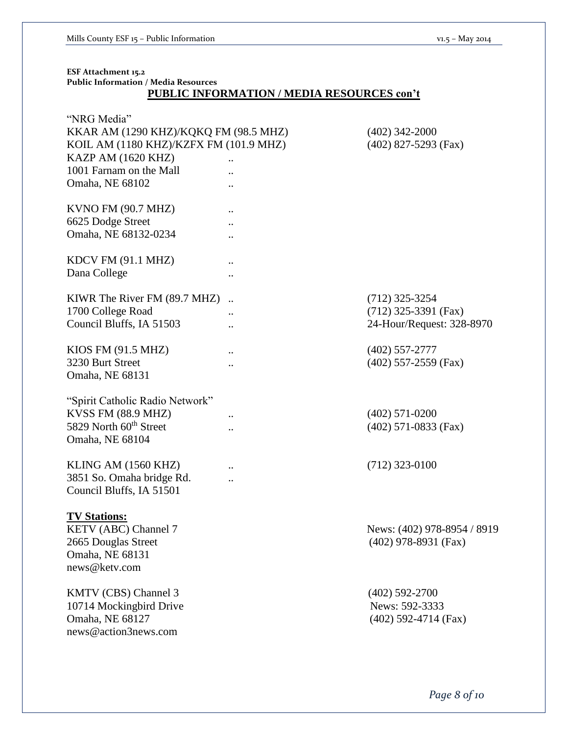| ESF Attachment 15.2<br><b>Public Information / Media Resources</b><br><b>PUBLIC INFORMATION / MEDIA RESOURCES con't</b>                                            |                                       |                                                                         |  |  |
|--------------------------------------------------------------------------------------------------------------------------------------------------------------------|---------------------------------------|-------------------------------------------------------------------------|--|--|
| "NRG Media"<br>KKAR AM (1290 KHZ)/KQKQ FM (98.5 MHZ)<br>KOIL AM (1180 KHZ)/KZFX FM (101.9 MHZ)<br>KAZP AM (1620 KHZ)<br>1001 Farnam on the Mall<br>Omaha, NE 68102 |                                       | $(402)$ 342-2000<br>$(402)$ 827-5293 (Fax)                              |  |  |
| KVNO FM (90.7 MHZ)<br>6625 Dodge Street<br>Omaha, NE 68132-0234                                                                                                    | $\ddot{\phantom{0}}$                  |                                                                         |  |  |
| KDCV FM (91.1 MHZ)<br>Dana College                                                                                                                                 | $\cdot \cdot$<br>$\ddot{\phantom{0}}$ |                                                                         |  |  |
| KIWR The River FM (89.7 MHZ)<br>1700 College Road<br>Council Bluffs, IA 51503                                                                                      |                                       | $(712)$ 325-3254<br>$(712)$ 325-3391 (Fax)<br>24-Hour/Request: 328-8970 |  |  |
| KIOS FM (91.5 MHZ)<br>3230 Burt Street<br>Omaha, NE 68131                                                                                                          | $\ddot{\phantom{0}}$<br>              | $(402)$ 557-2777<br>$(402)$ 557-2559 (Fax)                              |  |  |
| "Spirit Catholic Radio Network"<br>KVSS FM (88.9 MHZ)<br>5829 North 60 <sup>th</sup> Street<br>Omaha, NE 68104                                                     | $\cdot$ .<br>$\ddot{\phantom{0}}$     | $(402)$ 571-0200<br>$(402)$ 571-0833 (Fax)                              |  |  |
| KLING AM (1560 KHZ)<br>3851 So. Omaha bridge Rd.<br>Council Bluffs, IA 51501                                                                                       |                                       | $(712)$ 323-0100                                                        |  |  |
| <b>TV Stations:</b><br>KETV (ABC) Channel 7<br>2665 Douglas Street<br>Omaha, NE 68131<br>news@ketv.com                                                             |                                       | News: (402) 978-8954 / 8919<br>$(402)$ 978-8931 (Fax)                   |  |  |
| KMTV (CBS) Channel 3<br>10714 Mockingbird Drive<br>Omaha, NE 68127<br>news@action3news.com                                                                         |                                       | $(402)$ 592-2700<br>News: 592-3333<br>$(402)$ 592-4714 (Fax)            |  |  |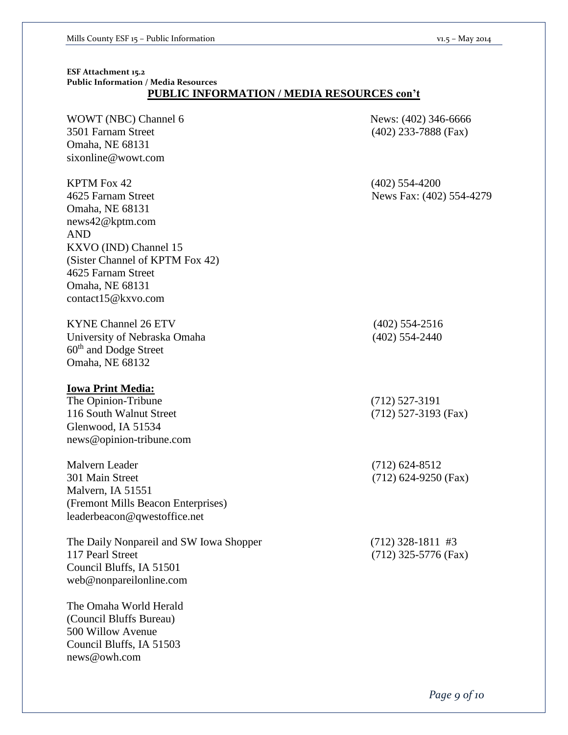# **ESF Attachment 15.2 Public Information / Media Resources PUBLIC INFORMATION / MEDIA RESOURCES con't**

| WOWT (NBC) Channel 6<br>3501 Farnam Street<br>Omaha, NE 68131<br>sixonline@wowt.com                                                                                                                                     | News: (402) 346-6666<br>$(402)$ 233-7888 (Fax) |
|-------------------------------------------------------------------------------------------------------------------------------------------------------------------------------------------------------------------------|------------------------------------------------|
| <b>KPTM Fox 42</b><br>4625 Farnam Street<br>Omaha, NE 68131<br>news42@kptm.com<br><b>AND</b><br>KXVO (IND) Channel 15<br>(Sister Channel of KPTM Fox 42)<br>4625 Farnam Street<br>Omaha, NE 68131<br>contact15@kxvo.com | $(402)$ 554-4200<br>News Fax: (402) 554-4279   |
| <b>KYNE Channel 26 ETV</b><br>University of Nebraska Omaha<br>60 <sup>th</sup> and Dodge Street<br>Omaha, NE 68132                                                                                                      | $(402)$ 554-2516<br>$(402)$ 554-2440           |
| <b>Iowa Print Media:</b><br>The Opinion-Tribune<br>116 South Walnut Street<br>Glenwood, IA 51534<br>news@opinion-tribune.com                                                                                            | $(712)$ 527-3191<br>(712) 527-3193 (Fax)       |
| Malvern Leader<br>301 Main Street<br>Malvern, IA 51551<br>(Fremont Mills Beacon Enterprises)<br>leaderbeacon@qwestoffice.net                                                                                            | $(712)$ 624-8512<br>$(712)$ 624-9250 (Fax)     |
| The Daily Nonpareil and SW Iowa Shopper<br>117 Pearl Street<br>Council Bluffs, IA 51501<br>web@nonpareilonline.com                                                                                                      | $(712)$ 328-1811 #3<br>$(712)$ 325-5776 (Fax)  |
| The Omaha World Herald<br>(Council Bluffs Bureau)<br>500 Willow Avenue<br>Council Bluffs, IA 51503<br>news@owh.com                                                                                                      |                                                |

*Page 9 of 10*